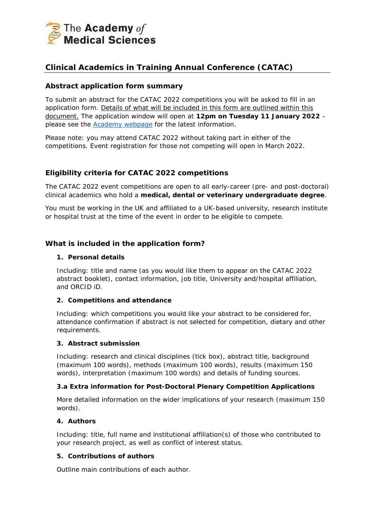

# **Clinical Academics in Training Annual Conference (CATAC)**

### **Abstract application form summary**

To submit an abstract for the CATAC 2022 competitions you will be asked to fill in an application form. Details of what will be included in this form are outlined within this document. The application window will open at **12pm on Tuesday 11 January 2022** – please see the **Academy webpage** for the latest information.

Please note: you may attend CATAC 2022 without taking part in either of the competitions. Event registration for those not competing will open in March 2022.

# **Eligibility criteria for CATAC 2022 competitions**

The CATAC 2022 event competitions are open to all early-career (pre- and post-doctoral) clinical academics who hold a **medical, dental or veterinary undergraduate degree**.

You must be working in the UK and affiliated to a UK-based university, research institute or hospital trust at the time of the event in order to be eligible to compete.

### **What is included in the application form?**

#### **1. Personal details**

Including: title and name (as you would like them to appear on the CATAC 2022 abstract booklet), contact information, job title, University and/hospital affiliation, and ORCID iD.

#### **2. Competitions and attendance**

Including: which competitions you would like your abstract to be considered for, attendance confirmation if abstract is not selected for competition, dietary and other requirements.

#### **3. Abstract submission**

Including: research and clinical disciplines (tick box), abstract title, background (maximum 100 words), methods (maximum 100 words), results (maximum 150 words), interpretation (maximum 100 words) and details of funding sources.

#### **3.a Extra information for Post-Doctoral Plenary Competition Applications**

More detailed information on the wider implications of your research (maximum 150 words).

#### **4. Authors**

Including: title, full name and institutional affiliation(s) of those who contributed to your research project, as well as conflict of interest status.

#### **5. Contributions of authors**

Outline main contributions of each author.